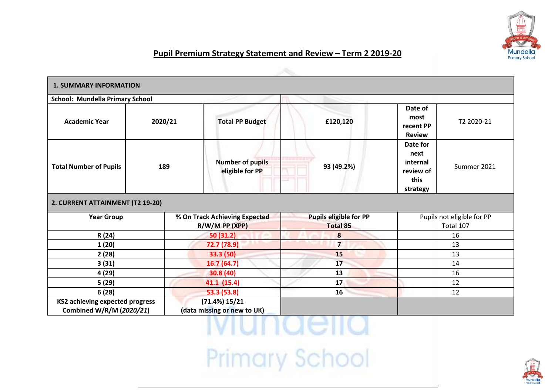

## **Pupil Premium Strategy Statement and Review – Term 2 2019-20**

| <b>1. SUMMARY INFORMATION</b>                                      |                                                   |                                              |                                                  |                                                             |                                                                              |
|--------------------------------------------------------------------|---------------------------------------------------|----------------------------------------------|--------------------------------------------------|-------------------------------------------------------------|------------------------------------------------------------------------------|
| <b>School: Mundella Primary School</b>                             |                                                   |                                              |                                                  |                                                             |                                                                              |
| <b>Academic Year</b>                                               | 2020/21                                           | <b>Total PP Budget</b><br>£120,120           |                                                  | Date of<br>most<br>T2 2020-21<br>recent PP<br><b>Review</b> |                                                                              |
| <b>Total Number of Pupils</b>                                      | 189                                               | <b>Number of pupils</b><br>eligible for PP   | 93 (49.2%)                                       |                                                             | Date for<br>next<br>internal<br>Summer 2021<br>review of<br>this<br>strategy |
| 2. CURRENT ATTAINMENT (T2 19-20)                                   |                                                   |                                              |                                                  |                                                             |                                                                              |
| <b>Year Group</b>                                                  | % On Track Achieving Expected<br>$R/W/M$ PP (XPP) |                                              | <b>Pupils eligible for PP</b><br><b>Total 85</b> | Pupils not eligible for PP<br>Total 107                     |                                                                              |
| R (24)                                                             |                                                   | 50(31.2)                                     | 8                                                |                                                             | 16                                                                           |
| 1(20)                                                              |                                                   | 72.7 (78.9)                                  | $\overline{7}$                                   | 13                                                          |                                                                              |
| 2(28)                                                              |                                                   | 33.3 (50)                                    | 15                                               | 13                                                          |                                                                              |
| 3(31)                                                              |                                                   | 16.7(64.7)                                   | 17                                               | 14                                                          |                                                                              |
| 4(29)                                                              |                                                   | 30.8 (40)                                    | 13                                               | 16                                                          |                                                                              |
| 5(29)                                                              |                                                   | 41.1 (15.4)                                  | 17                                               | 12                                                          |                                                                              |
| 6(28)                                                              | 53.3 (53.8)<br>16                                 |                                              | 12                                               |                                                             |                                                                              |
| <b>KS2 achieving expected progress</b><br>Combined W/R/M (2020/21) |                                                   | (71.4%) 15/21<br>(data missing or new to UK) |                                                  |                                                             |                                                                              |

<u>iviunaelia</u> Primary School

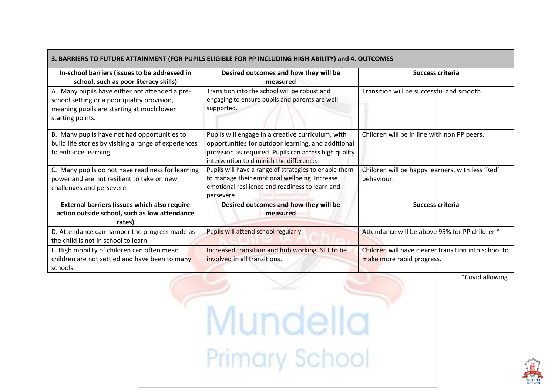| 3. BARRIERS TO FUTURE ATTAINMENT (FOR PUPILS ELIGIBLE FOR PP INCLUDING HIGH ABILITY) and 4. OUTCOMES                                                           |                                                                                                                                                                                                              |                                                                                   |  |  |
|----------------------------------------------------------------------------------------------------------------------------------------------------------------|--------------------------------------------------------------------------------------------------------------------------------------------------------------------------------------------------------------|-----------------------------------------------------------------------------------|--|--|
| In-school barriers (issues to be addressed in<br>school, such as poor literacy skills)                                                                         | Desired outcomes and how they will be<br>measured                                                                                                                                                            | Success criteria                                                                  |  |  |
| A. Many pupils have either not attended a pre-<br>school setting or a poor quality provision,<br>meaning pupils are starting at much lower<br>starting points. | Transition into the school will be robust and<br>engaging to ensure pupils and parents are well<br>supported.                                                                                                | Transition will be successful and smooth.                                         |  |  |
| B. Many pupils have not had opportunities to<br>build life stories by visiting a range of experiences<br>to enhance learning.                                  | Pupils will engage in a creative curriculum, with<br>opportunities for outdoor learning, and additional<br>provision as required. Pupils can access high quality<br>intervention to diminish the difference. | Children will be in line with non PP peers.                                       |  |  |
| C. Many pupils do not have readiness for learning<br>power and are not resilient to take on new<br>challenges and persevere.                                   | Pupils will have a range of strategies to enable them<br>to manage their emotional wellbeing. Increase<br>emotional resilience and readiness to learn and<br>persevere.                                      | Children will be happy learners, with less 'Red'<br>behaviour.                    |  |  |
| External barriers (issues which also require<br>action outside school, such as low attendance<br>rates)                                                        | Desired outcomes and how they will be<br>measured                                                                                                                                                            | <b>Success criteria</b>                                                           |  |  |
| D. Attendance can hamper the progress made as<br>the child is not in school to learn.                                                                          | Pupils will attend school regularly.                                                                                                                                                                         | Attendance will be above 95% for PP children*                                     |  |  |
| E. High mobility of children can often mean<br>children are not settled and have been to many<br>schools.                                                      | Increased transition and hub working. SLT to be<br>involved in all transitions.                                                                                                                              | Children will have clearer transition into school to<br>make more rapid progress. |  |  |

## \*Covid allowing

Mundella Primary School

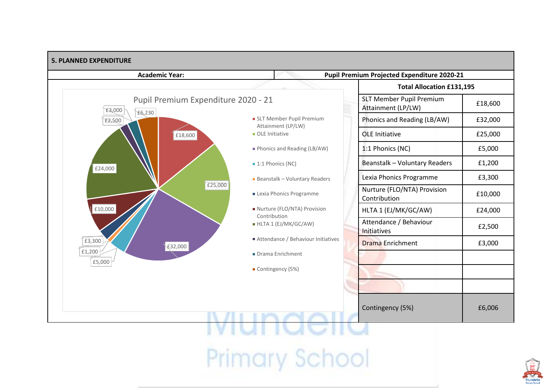

**Primary School** 

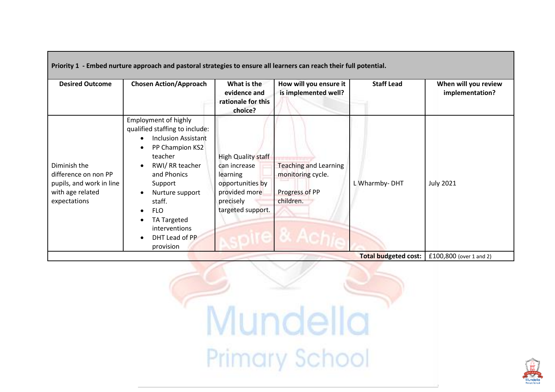|                                                                                                      | Priority 1 - Embed nurture approach and pastoral strategies to ensure all learners can reach their full potential.                                                                                                                                                                           |                                                                                                                              |                                                                                  |                         |                                         |
|------------------------------------------------------------------------------------------------------|----------------------------------------------------------------------------------------------------------------------------------------------------------------------------------------------------------------------------------------------------------------------------------------------|------------------------------------------------------------------------------------------------------------------------------|----------------------------------------------------------------------------------|-------------------------|-----------------------------------------|
| <b>Desired Outcome</b>                                                                               | <b>Chosen Action/Approach</b>                                                                                                                                                                                                                                                                | What is the<br>evidence and<br>rationale for this<br>choice?                                                                 | How will you ensure it<br>is implemented well?                                   | <b>Staff Lead</b>       | When will you review<br>implementation? |
| Diminish the<br>difference on non PP<br>pupils, and work in line<br>with age related<br>expectations | <b>Employment of highly</b><br>qualified staffing to include:<br><b>Inclusion Assistant</b><br>PP Champion KS2<br>teacher<br>RWI/RR teacher<br>and Phonics<br>Support<br>Nurture support<br>staff.<br><b>FLO</b><br>$\bullet$<br>TA Targeted<br>interventions<br>DHT Lead of PP<br>provision | <b>High Quality staff</b><br>can increase<br>learning<br>opportunities by<br>provided more<br>precisely<br>targeted support. | <b>Teaching and Learning</b><br>monitoring cycle.<br>Progress of PP<br>children. | L Wharmby-DHT           | <b>July 2021</b>                        |
| <b>Total budgeted cost:</b>                                                                          |                                                                                                                                                                                                                                                                                              |                                                                                                                              |                                                                                  | £100,800 (over 1 and 2) |                                         |



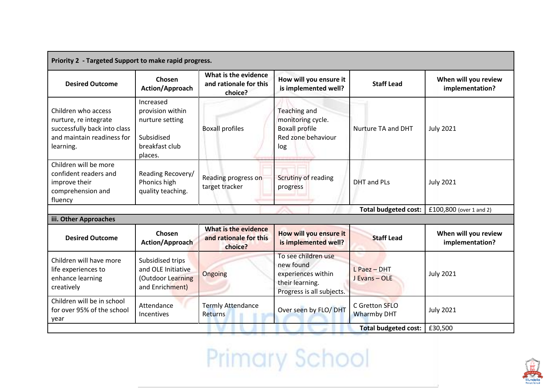| Priority 2 - Targeted Support to make rapid progress.                                                                   |                                                                                             |                                                                                                             |                                                                                                        |                                      |                                         |
|-------------------------------------------------------------------------------------------------------------------------|---------------------------------------------------------------------------------------------|-------------------------------------------------------------------------------------------------------------|--------------------------------------------------------------------------------------------------------|--------------------------------------|-----------------------------------------|
| <b>Desired Outcome</b>                                                                                                  | Chosen<br>Action/Approach                                                                   | What is the evidence<br>How will you ensure it<br>and rationale for this<br>is implemented well?<br>choice? |                                                                                                        | <b>Staff Lead</b>                    | When will you review<br>implementation? |
| Children who access<br>nurture, re integrate<br>successfully back into class<br>and maintain readiness for<br>learning. | Increased<br>provision within<br>nurture setting<br>Subsidised<br>breakfast club<br>places. | <b>Boxall profiles</b>                                                                                      | <b>Teaching and</b><br>monitoring cycle.<br><b>Boxall profile</b><br>Red zone behaviour<br>log         | Nurture TA and DHT                   | <b>July 2021</b>                        |
| Children will be more<br>confident readers and<br>improve their<br>comprehension and<br>fluency                         | Reading Recovery/<br>Phonics high<br>quality teaching.                                      | Reading progress on<br>target tracker                                                                       | Scrutiny of reading<br>progress                                                                        | <b>DHT</b> and PLs                   | <b>July 2021</b>                        |
| <b>Total budgeted cost:</b>                                                                                             |                                                                                             |                                                                                                             |                                                                                                        |                                      | £100,800 (over 1 and 2)                 |
| iii. Other Approaches                                                                                                   |                                                                                             |                                                                                                             |                                                                                                        |                                      |                                         |
| <b>Desired Outcome</b>                                                                                                  | Chosen<br>Action/Approach                                                                   | What is the evidence<br>and rationale for this<br>choice?                                                   | How will you ensure it<br>is implemented well?                                                         | <b>Staff Lead</b>                    | When will you review<br>implementation? |
| Children will have more<br>life experiences to<br>enhance learning<br>creatively                                        | Subsidised trips<br>and OLE Initiative<br>(Outdoor Learning<br>and Enrichment)              | Ongoing                                                                                                     | To see children use<br>new found<br>experiences within<br>their learning.<br>Progress is all subjects. | L Paez - DHT<br>J Evans - OLE        | <b>July 2021</b>                        |
| Children will be in school<br>for over 95% of the school<br>year                                                        | Attendance<br><b>Incentives</b>                                                             | <b>Termly Attendance</b><br>Returns                                                                         | Over seen by FLO/ DHT                                                                                  | C Gretton SFLO<br><b>Wharmby DHT</b> | <b>July 2021</b>                        |
| <b>Total budgeted cost:</b>                                                                                             |                                                                                             |                                                                                                             |                                                                                                        | £30,500                              |                                         |

Primary School